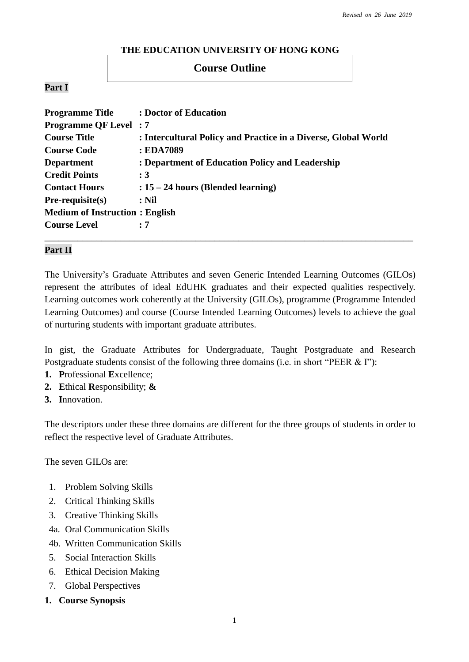#### **THE EDUCATION UNIVERSITY OF HONG KONG**

## **Course Outline**

### **Part I**

| <b>Programme Title</b>                | : Doctor of Education                                          |
|---------------------------------------|----------------------------------------------------------------|
| <b>Programme QF Level: 7</b>          |                                                                |
| <b>Course Title</b>                   | : Intercultural Policy and Practice in a Diverse, Global World |
| <b>Course Code</b>                    | : EDA7089                                                      |
| <b>Department</b>                     | : Department of Education Policy and Leadership                |
| <b>Credit Points</b>                  | :3                                                             |
| <b>Contact Hours</b>                  | $: 15 - 24$ hours (Blended learning)                           |
| $Pre-requisite(s)$                    | $:$ Nil                                                        |
| <b>Medium of Instruction: English</b> |                                                                |
| <b>Course Level</b>                   | : 7                                                            |
|                                       |                                                                |

#### **Part II**

The University's Graduate Attributes and seven Generic Intended Learning Outcomes (GILOs) represent the attributes of ideal EdUHK graduates and their expected qualities respectively. Learning outcomes work coherently at the University (GILOs), programme (Programme Intended Learning Outcomes) and course (Course Intended Learning Outcomes) levels to achieve the goal of nurturing students with important graduate attributes.

In gist, the Graduate Attributes for Undergraduate, Taught Postgraduate and Research Postgraduate students consist of the following three domains (i.e. in short "PEER & I"):

- **1. P**rofessional **E**xcellence;
- **2. E**thical **R**esponsibility; **&**
- **3. I**nnovation.

The descriptors under these three domains are different for the three groups of students in order to reflect the respective level of Graduate Attributes.

The seven GILOs are:

- 1. Problem Solving Skills
- 2. Critical Thinking Skills
- 3. Creative Thinking Skills
- 4a. Oral Communication Skills
- 4b. Written Communication Skills
- 5. Social Interaction Skills
- 6. Ethical Decision Making
- 7. Global Perspectives
- **1. Course Synopsis**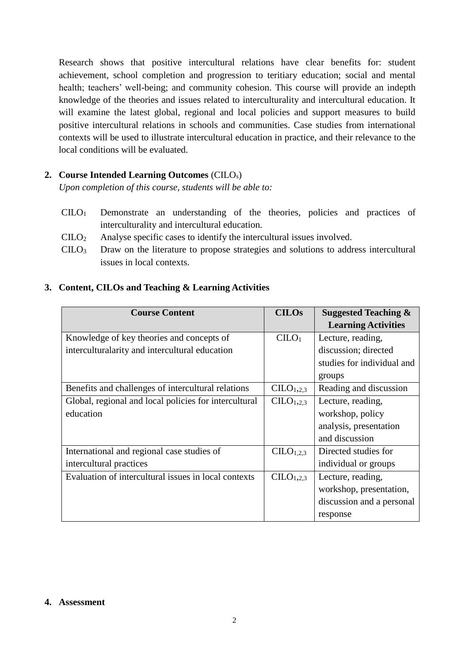Research shows that positive intercultural relations have clear benefits for: student achievement, school completion and progression to teritiary education; social and mental health; teachers' well-being; and community cohesion. This course will provide an indepth knowledge of the theories and issues related to interculturality and intercultural education. It will examine the latest global, regional and local policies and support measures to build positive intercultural relations in schools and communities. Case studies from international contexts will be used to illustrate intercultural education in practice, and their relevance to the local conditions will be evaluated.

# **2. Course Intended Learning Outcomes** (CILOs)

*Upon completion of this course, students will be able to:*

- CILO<sup>1</sup> Demonstrate an understanding of the theories, policies and practices of interculturality and intercultural education.
- $\text{CILO}_2$  Analyse specific cases to identify the intercultural issues involved.
- CILO<sup>3</sup> Draw on the literature to propose strategies and solutions to address intercultural issues in local contexts.

# **3. Content, CILOs and Teaching & Learning Activities**

| <b>Course Content</b>                                 | <b>CILOs</b>                      | <b>Suggested Teaching &amp;</b> |
|-------------------------------------------------------|-----------------------------------|---------------------------------|
|                                                       |                                   | <b>Learning Activities</b>      |
| Knowledge of key theories and concepts of             | CLLO <sub>1</sub>                 | Lecture, reading,               |
| interculturalarity and intercultural education        |                                   | discussion; directed            |
|                                                       |                                   | studies for individual and      |
|                                                       |                                   | groups                          |
| Benefits and challenges of intercultural relations    | CLLO <sub>1,2.3</sub>             | Reading and discussion          |
| Global, regional and local policies for intercultural | CLLO <sub>1,2.3</sub>             | Lecture, reading,               |
| education                                             |                                   | workshop, policy                |
|                                                       |                                   | analysis, presentation          |
|                                                       |                                   | and discussion                  |
| International and regional case studies of            | C <sub>L</sub> O <sub>1,2,3</sub> | Directed studies for            |
| intercultural practices                               |                                   | individual or groups            |
| Evaluation of intercultural issues in local contexts  | CLLO <sub>1,2.3</sub>             | Lecture, reading,               |
|                                                       |                                   | workshop, presentation,         |
|                                                       |                                   | discussion and a personal       |
|                                                       |                                   | response                        |

#### **4. Assessment**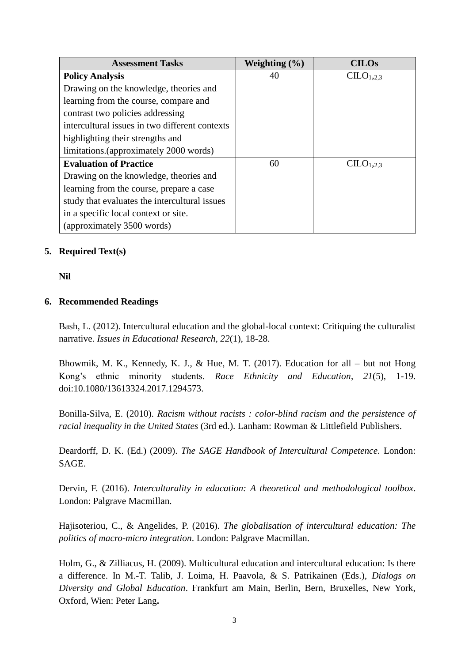| <b>Assessment Tasks</b>                        | Weighting $(\% )$ | <b>CILOs</b>                       |
|------------------------------------------------|-------------------|------------------------------------|
| <b>Policy Analysis</b>                         | 40                | C <sub>II</sub> O <sub>1,2,3</sub> |
| Drawing on the knowledge, theories and         |                   |                                    |
| learning from the course, compare and          |                   |                                    |
| contrast two policies addressing               |                   |                                    |
| intercultural issues in two different contexts |                   |                                    |
| highlighting their strengths and               |                   |                                    |
| limitations. (approximately 2000 words)        |                   |                                    |
| <b>Evaluation of Practice</b>                  | 60                | CLLO <sub>1,2,3</sub>              |
| Drawing on the knowledge, theories and         |                   |                                    |
| learning from the course, prepare a case       |                   |                                    |
| study that evaluates the intercultural issues  |                   |                                    |
| in a specific local context or site.           |                   |                                    |
| (approximately 3500 words)                     |                   |                                    |

## **5. Required Text(s)**

**Nil**

### **6. Recommended Readings**

Bash, L. (2012). Intercultural education and the global-local context: Critiquing the culturalist narrative. *Issues in Educational Research, 22*(1), 18-28.

Bhowmik, M. K., Kennedy, K. J., & Hue, M. T. (2017). Education for all – but not Hong Kong's ethnic minority students. *Race Ethnicity and Education*, *21*(5), 1-19. doi:10.1080/13613324.2017.1294573.

Bonilla-Silva, E. (2010). *Racism without racists : color-blind racism and the persistence of racial inequality in the United States* (3rd ed.). Lanham: Rowman & Littlefield Publishers.

Deardorff, D. K. (Ed.) (2009). *The SAGE Handbook of Intercultural Competence.* London: SAGE.

Dervin, F. (2016). *Interculturality in education: A theoretical and methodological toolbox*. London: Palgrave Macmillan.

Hajisoteriou, C., & Angelides, P. (2016). *The globalisation of intercultural education: The politics of macro-micro integration*. London: Palgrave Macmillan.

Holm, G., & Zilliacus, H. (2009). Multicultural education and intercultural education: Is there a difference. In M.-T. Talib, J. Loima, H. Paavola, & S. Patrikainen (Eds.), *Dialogs on Diversity and Global Education*. Frankfurt am Main, Berlin, Bern, Bruxelles, New York, Oxford, Wien: Peter Lang**.**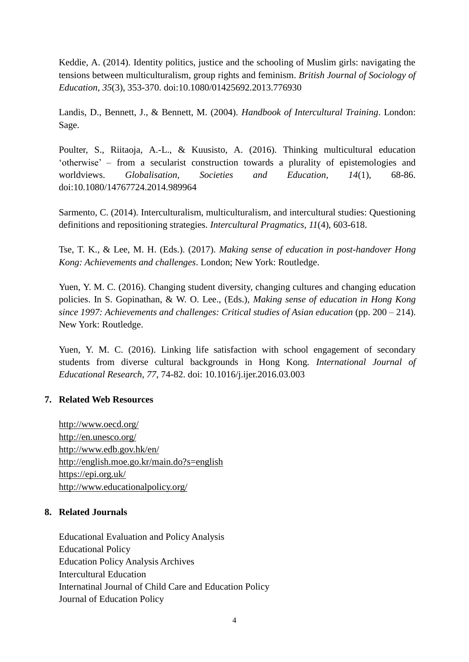Keddie, A. (2014). Identity politics, justice and the schooling of Muslim girls: navigating the tensions between multiculturalism, group rights and feminism. *British Journal of Sociology of Education, 35*(3), 353-370. doi:10.1080/01425692.2013.776930

Landis, D., Bennett, J., & Bennett, M. (2004). *Handbook of Intercultural Training*. London: Sage.

Poulter, S., Riitaoja, A.-L., & Kuusisto, A. (2016). Thinking multicultural education 'otherwise' – from a secularist construction towards a plurality of epistemologies and worldviews. *Globalisation, Societies and Education, 14*(1), 68-86. doi:10.1080/14767724.2014.989964

Sarmento, C. (2014). Interculturalism, multiculturalism, and intercultural studies: Questioning definitions and repositioning strategies. *Intercultural Pragmatics, 11*(4), 603-618.

Tse, T. K., & Lee, M. H. (Eds.). (2017). *Making sense of education in post-handover Hong Kong: Achievements and challenges*. London; New York: Routledge.

Yuen, Y. M. C. (2016). Changing student diversity, changing cultures and changing education policies. In S. Gopinathan, & W. O. Lee., (Eds.), *Making sense of education in Hong Kong since 1997: Achievements and challenges: Critical studies of Asian education* (pp. 200 – 214). New York: Routledge.

Yuen, Y. M. C. (2016). Linking life satisfaction with school engagement of secondary students from diverse cultural backgrounds in Hong Kong*. International Journal of Educational Research, 77*, 74-82. doi: 10.1016/j.ijer.2016.03.003

## **7. Related Web Resources**

<http://www.oecd.org/> <http://en.unesco.org/> <http://www.edb.gov.hk/en/> <http://english.moe.go.kr/main.do?s=english> <https://epi.org.uk/> <http://www.educationalpolicy.org/>

## **8. Related Journals**

Educational Evaluation and Policy Analysis Educational Policy Education Policy Analysis Archives Intercultural Education Internatinal Journal of Child Care and Education Policy Journal of Education Policy